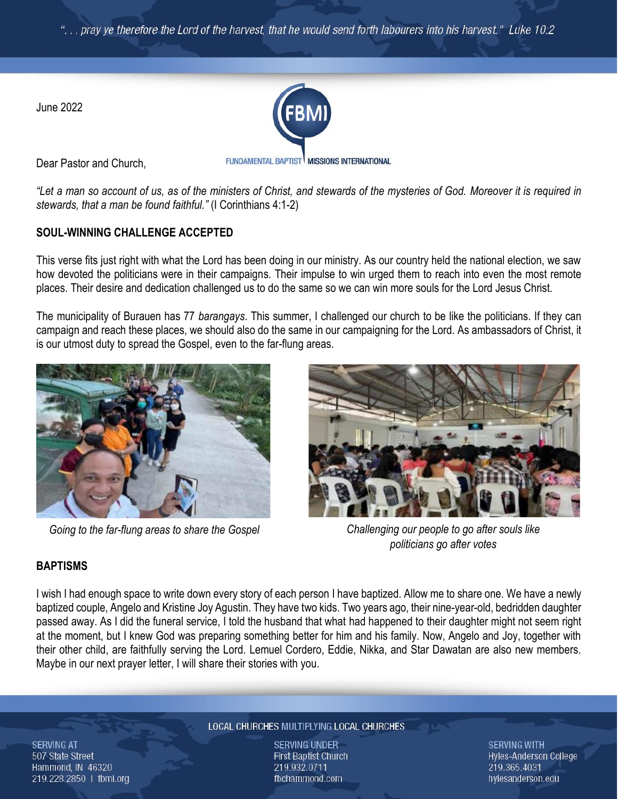pray ye therefore the Lord of the harvest, that he would send forth labourers into his harvest." Luke 10:2

June 2022



Dear Pastor and Church,

FUNDAMENTAL BAPTIST MISSIONS INTERNATIONAL

*"Let a man so account of us, as of the ministers of Christ, and stewards of the mysteries of God. Moreover it is required in stewards, that a man be found faithful."* (I Corinthians 4:1-2)

## **SOUL-WINNING CHALLENGE ACCEPTED**

This verse fits just right with what the Lord has been doing in our ministry. As our country held the national election, we saw how devoted the politicians were in their campaigns. Their impulse to win urged them to reach into even the most remote places. Their desire and dedication challenged us to do the same so we can win more souls for the Lord Jesus Christ.

The municipality of Burauen has 77 *barangays*. This summer, I challenged our church to be like the politicians. If they can campaign and reach these places, we should also do the same in our campaigning for the Lord. As ambassadors of Christ, it is our utmost duty to spread the Gospel, even to the far-flung areas.



*Going to the far-flung areas to share the Gospel*



*Challenging our people to go after souls like politicians go after votes*

# **BAPTISMS**

I wish I had enough space to write down every story of each person I have baptized. Allow me to share one. We have a newly baptized couple, Angelo and Kristine Joy Agustin. They have two kids. Two years ago, their nine-year-old, bedridden daughter passed away. As I did the funeral service, I told the husband that what had happened to their daughter might not seem right at the moment, but I knew God was preparing something better for him and his family. Now, Angelo and Joy, together with their other child, are faithfully serving the Lord. Lemuel Cordero, Eddie, Nikka, and Star Dawatan are also new members. Maybe in our next prayer letter, I will share their stories with you.

**SERVING AT** 507 State Street Hammond, IN 46320 219.228.2850 | fbmi.org

#### LOCAL CHURCHES MULTIPLYING LOCAL CHURCHES

**SERVING UNDER First Baptist Church** 219.932.0711 fbchammond.com

**SERVING WITH Hyles-Anderson College** 219.365.4031 hylesanderson.edu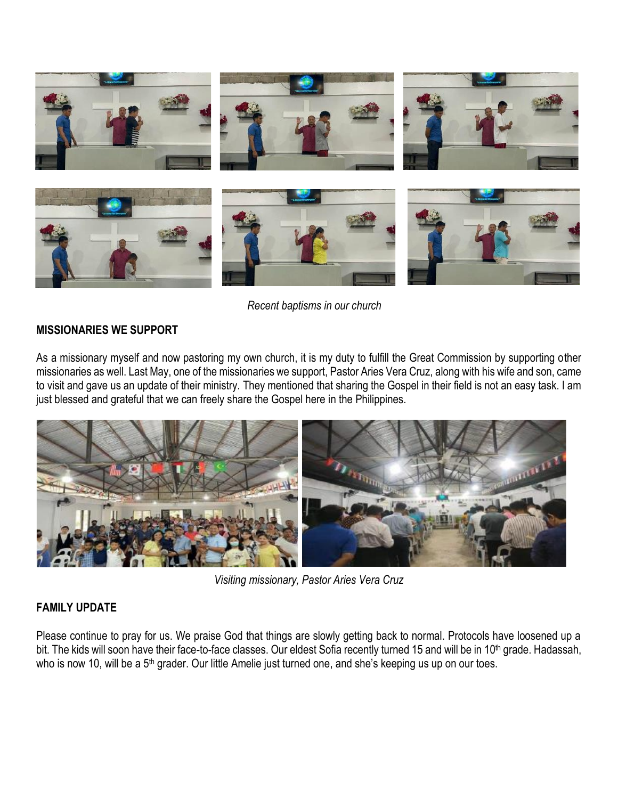

*Recent baptisms in our church*

### **MISSIONARIES WE SUPPORT**

As a missionary myself and now pastoring my own church, it is my duty to fulfill the Great Commission by supporting other missionaries as well. Last May, one of the missionaries we support, Pastor Aries Vera Cruz, along with his wife and son, came to visit and gave us an update of their ministry. They mentioned that sharing the Gospel in their field is not an easy task. I am just blessed and grateful that we can freely share the Gospel here in the Philippines.



*Visiting missionary, Pastor Aries Vera Cruz*

## **FAMILY UPDATE**

Please continue to pray for us. We praise God that things are slowly getting back to normal. Protocols have loosened up a bit. The kids will soon have their face-to-face classes. Our eldest Sofia recently turned 15 and will be in 10<sup>th</sup> grade. Hadassah, who is now 10, will be a 5<sup>th</sup> grader. Our little Amelie just turned one, and she's keeping us up on our toes.